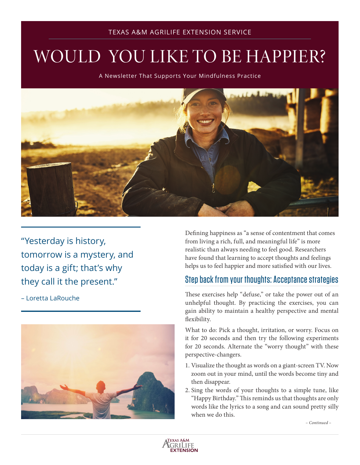#### TEXAS A&M AGRILIFE EXTENSION SERVICE

# WOULD YOU LIKE TO BE HAPPIER?

A Newsletter That Supports Your Mindfulness Practice



"Yesterday is history, tomorrow is a mystery, and today is a gift; that's why they call it the present."

– Loretta LaRouche



Defining happiness as "a sense of contentment that comes from living a rich, full, and meaningful life" is more realistic than always needing to feel good. Researchers have found that learning to accept thoughts and feelings helps us to feel happier and more satisfied with our lives.

#### Step back from your thoughts: Acceptance strategies

These exercises help "defuse," or take the power out of an unhelpful thought. By practicing the exercises, you can gain ability to maintain a healthy perspective and mental flexibility.

What to do: Pick a thought, irritation, or worry. Focus on it for 20 seconds and then try the following experiments for 20 seconds. Alternate the "worry thought" with these perspective-changers.

- 1. Visualize the thought as words on a giant-screen TV. Now zoom out in your mind, until the words become tiny and then disappear.
- 2. Sing the words of your thoughts to a simple tune, like "Happy Birthday." This reminds us that thoughts are only words like the lyrics to a song and can sound pretty silly when we do this.

– *Continued* –